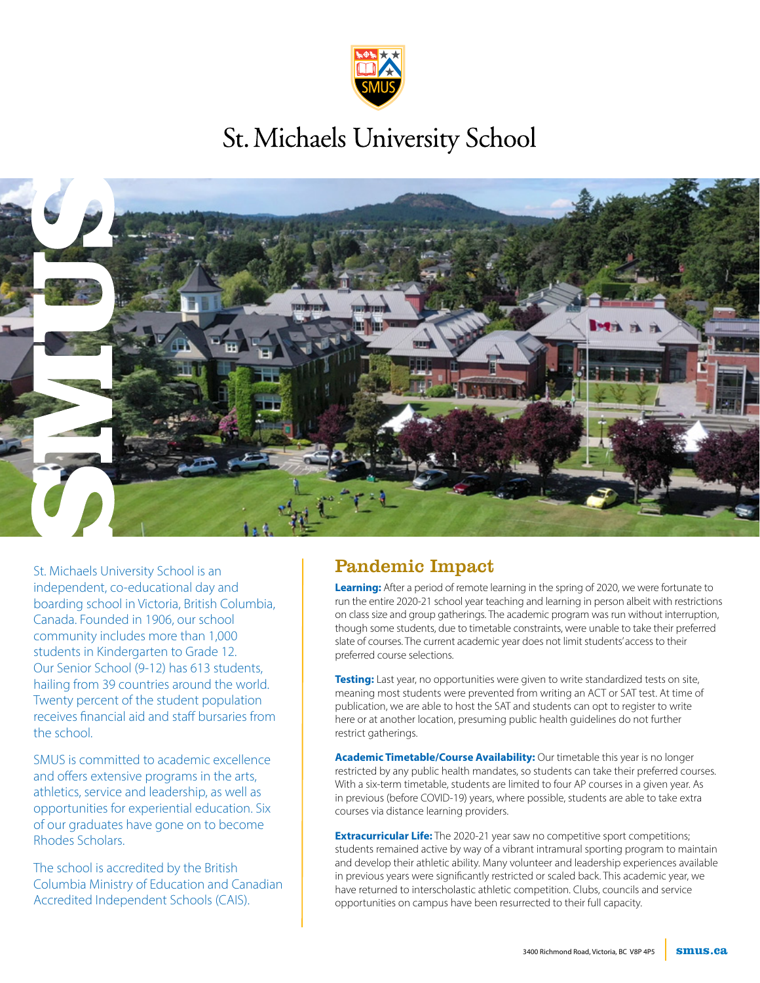

## St. Michaels University School



St. Michaels University School is an independent, co-educational day and boarding school in Victoria, British Columbia, Canada. Founded in 1906, our school community includes more than 1,000 students in Kindergarten to Grade 12. Our Senior School (9-12) has 613 students, hailing from 39 countries around the world. Twenty percent of the student population receives financial aid and staff bursaries from the school.

SMUS is committed to academic excellence and offers extensive programs in the arts, athletics, service and leadership, as well as opportunities for experiential education. Six of our graduates have gone on to become Rhodes Scholars.

The school is accredited by the British Columbia Ministry of Education and Canadian Accredited Independent Schools (CAIS).

### Pandemic Impact

**Learning:** After a period of remote learning in the spring of 2020, we were fortunate to run the entire 2020-21 school year teaching and learning in person albeit with restrictions on class size and group gatherings. The academic program was run without interruption, though some students, due to timetable constraints, were unable to take their preferred slate of courses. The current academic year does not limit students' access to their preferred course selections.

**Testing:** Last year, no opportunities were given to write standardized tests on site, meaning most students were prevented from writing an ACT or SAT test. At time of publication, we are able to host the SAT and students can opt to register to write here or at another location, presuming public health guidelines do not further restrict gatherings.

**Academic Timetable/Course Availability:** Our timetable this year is no longer restricted by any public health mandates, so students can take their preferred courses. With a six-term timetable, students are limited to four AP courses in a given year. As in previous (before COVID-19) years, where possible, students are able to take extra courses via distance learning providers.

**Extracurricular Life:** The 2020-21 year saw no competitive sport competitions; students remained active by way of a vibrant intramural sporting program to maintain and develop their athletic ability. Many volunteer and leadership experiences available in previous years were significantly restricted or scaled back. This academic year, we have returned to interscholastic athletic competition. Clubs, councils and service opportunities on campus have been resurrected to their full capacity.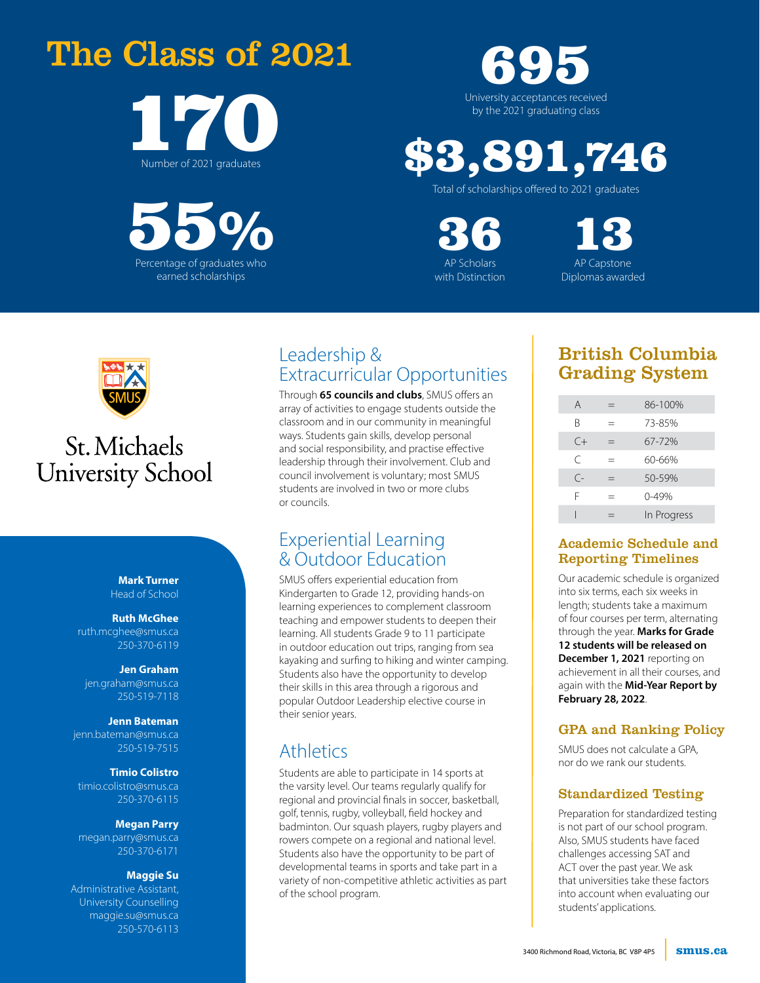## The Class of 2021



55 Percentage of graduates who % earned scholarships

## University acceptances received 695 by the 2021 graduating class

# \$3,891,746

Total of scholarships offered to 2021 graduates

36 13

AP Scholars **AP Capstone** with Distinction Diplomas awarded



## St. Michaels **University School**

**Mark Turner** Head of School

#### **Ruth McGhee**

ruth.mcghee@smus.ca 250-370-6119

#### **Jen Graham**

jen.graham@smus.ca 250-519-7118

#### **Jenn Bateman**

jenn.bateman@smus.ca 250-519-7515

#### **Timio Colistro**

timio.colistro@smus.ca 250-370-6115

#### **Megan Parry**

megan.parry@smus.ca 250-370-6171

#### **Maggie Su**

Administrative Assistant, University Counselling maggie.su@smus.ca 250-570-6113

### Leadership & Extracurricular Opportunities

Through **65 councils and clubs**, SMUS offers an array of activities to engage students outside the classroom and in our community in meaningful ways. Students gain skills, develop personal and social responsibility, and practise effective leadership through their involvement. Club and council involvement is voluntary; most SMUS students are involved in two or more clubs or councils.

### Experiential Learning & Outdoor Education

SMUS offers experiential education from Kindergarten to Grade 12, providing hands-on learning experiences to complement classroom teaching and empower students to deepen their learning. All students Grade 9 to 11 participate in outdoor education out trips, ranging from sea kayaking and surfing to hiking and winter camping. Students also have the opportunity to develop their skills in this area through a rigorous and popular Outdoor Leadership elective course in their senior years.

### **Athletics**

Students are able to participate in 14 sports at the varsity level. Our teams regularly qualify for regional and provincial finals in soccer, basketball, golf, tennis, rugby, volleyball, field hockey and badminton. Our squash players, rugby players and rowers compete on a regional and national level. Students also have the opportunity to be part of developmental teams in sports and take part in a variety of non-competitive athletic activities as part of the school program.

### British Columbia Grading System

| A         |     | 86-100%     |
|-----------|-----|-------------|
| R         |     | 73-85%      |
| $C +$     | =   | 67-72%      |
| $\subset$ | $=$ | 60-66%      |
| $\subset$ | =   | 50-59%      |
| F         |     | $0 - 49%$   |
|           |     | In Progress |

### Academic Schedule and Reporting Timelines

Our academic schedule is organized into six terms, each six weeks in length; students take a maximum of four courses per term, alternating through the year. **Marks for Grade 12 students will be released on December 1, 2021** reporting on achievement in all their courses, and again with the **Mid-Year Report by February 28, 2022**.

### GPA and Ranking Policy

SMUS does not calculate a GPA, nor do we rank our students.

### Standardized Testing

Preparation for standardized testing is not part of our school program. Also, SMUS students have faced challenges accessing SAT and ACT over the past year. We ask that universities take these factors into account when evaluating our students' applications.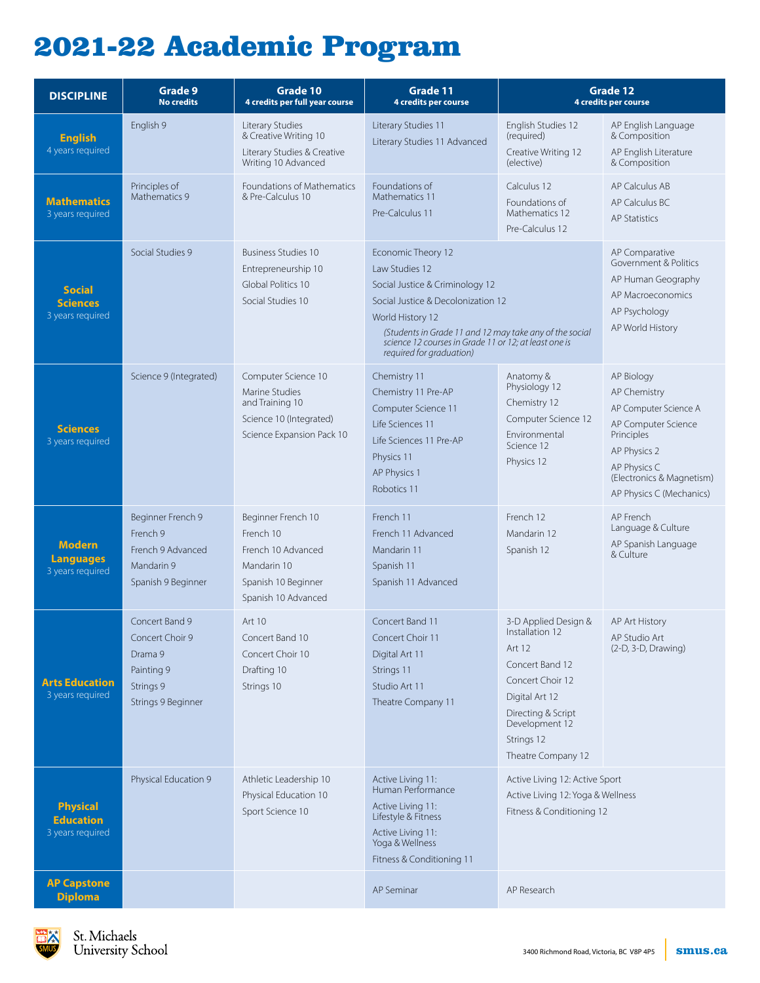## 2021-22 Academic Program

| <b>DISCIPLINE</b>                                       | Grade 9<br><b>No credits</b>                                                                  | Grade 10<br>4 credits per full year course                                                                         | Grade 11<br>4 credits per course                                                                                                                                                                                                                                                  | Grade 12<br>4 credits per course                                                                                                                                                       |                                                                                                                                                                                   |
|---------------------------------------------------------|-----------------------------------------------------------------------------------------------|--------------------------------------------------------------------------------------------------------------------|-----------------------------------------------------------------------------------------------------------------------------------------------------------------------------------------------------------------------------------------------------------------------------------|----------------------------------------------------------------------------------------------------------------------------------------------------------------------------------------|-----------------------------------------------------------------------------------------------------------------------------------------------------------------------------------|
| <b>English</b><br>4 years required                      | English 9                                                                                     | Literary Studies<br>& Creative Writing 10<br>Literary Studies & Creative<br>Writing 10 Advanced                    | Literary Studies 11<br>Literary Studies 11 Advanced                                                                                                                                                                                                                               | English Studies 12<br>(required)<br>Creative Writing 12<br>(elective)                                                                                                                  | AP English Language<br>& Composition<br>AP English Literature<br>& Composition                                                                                                    |
| <b>Mathematics</b><br>3 years required                  | Principles of<br>Mathematics 9                                                                | Foundations of Mathematics<br>& Pre-Calculus 10                                                                    | Foundations of<br>Mathematics 11<br>Pre-Calculus 11                                                                                                                                                                                                                               | Calculus 12<br>Foundations of<br>Mathematics 12<br>Pre-Calculus 12                                                                                                                     | AP Calculus AB<br>AP Calculus BC<br><b>AP Statistics</b>                                                                                                                          |
| <b>Social</b><br><b>Sciences</b><br>3 years required    | Social Studies 9                                                                              | <b>Business Studies 10</b><br>Entrepreneurship 10<br>Global Politics 10<br>Social Studies 10                       | Economic Theory 12<br>Law Studies 12<br>Social Justice & Criminology 12<br>Social Justice & Decolonization 12<br>World History 12<br>(Students in Grade 11 and 12 may take any of the social<br>science 12 courses in Grade 11 or 12; at least one is<br>required for graduation) |                                                                                                                                                                                        | AP Comparative<br>Government & Politics<br>AP Human Geography<br>AP Macroeconomics<br>AP Psychology<br>AP World History                                                           |
| <b>Sciences</b><br>3 years required                     | Science 9 (Integrated)                                                                        | Computer Science 10<br>Marine Studies<br>and Training 10<br>Science 10 (Integrated)<br>Science Expansion Pack 10   | Chemistry 11<br>Chemistry 11 Pre-AP<br>Computer Science 11<br>Life Sciences 11<br>Life Sciences 11 Pre-AP<br>Physics 11<br>AP Physics 1<br>Robotics 11                                                                                                                            | Anatomy &<br>Physiology 12<br>Chemistry 12<br>Computer Science 12<br>Fnvironmental<br>Science 12<br>Physics 12                                                                         | AP Biology<br>AP Chemistry<br>AP Computer Science A<br>AP Computer Science<br>Principles<br>AP Physics 2<br>AP Physics C<br>(Electronics & Magnetism)<br>AP Physics C (Mechanics) |
| <b>Modern</b><br><b>Languages</b><br>3 years required   | Beginner French 9<br>French 9<br>French 9 Advanced<br>Mandarin 9<br>Spanish 9 Beginner        | Beginner French 10<br>French 10<br>French 10 Advanced<br>Mandarin 10<br>Spanish 10 Beginner<br>Spanish 10 Advanced | French 11<br>French 11 Advanced<br>Mandarin 11<br>Spanish 11<br>Spanish 11 Advanced                                                                                                                                                                                               | French 12<br>Mandarin 12<br>Spanish 12                                                                                                                                                 | AP French<br>Language & Culture<br>AP Spanish Language<br>& Culture                                                                                                               |
| <b>Arts Education</b><br>3 years required               | Concert Band 9<br>Concert Choir 9<br>Drama 9<br>Painting 9<br>Strings 9<br>Strings 9 Beginner | Art 10<br>Concert Band 10<br>Concert Choir 10<br>Drafting 10<br>Strings 10                                         | Concert Band 11<br>Concert Choir 11<br>Digital Art 11<br>Strings 11<br>Studio Art 11<br>Theatre Company 11                                                                                                                                                                        | 3-D Applied Design &<br>Installation 12<br>Art 12<br>Concert Band 12<br>Concert Choir 12<br>Digital Art 12<br>Directing & Script<br>Development 12<br>Strings 12<br>Theatre Company 12 | AP Art History<br>AP Studio Art<br>$(2-D, 3-D, Drawing)$                                                                                                                          |
| <b>Physical</b><br><b>Education</b><br>3 years required | Physical Education 9                                                                          | Athletic Leadership 10<br>Physical Education 10<br>Sport Science 10                                                | Active Living 11:<br>Human Performance<br>Active Living 11:<br>Lifestyle & Fitness<br>Active Living 11:<br>Yoga & Wellness<br>Fitness & Conditioning 11                                                                                                                           | Active Living 12: Active Sport<br>Active Living 12: Yoga & Wellness<br>Fitness & Conditioning 12                                                                                       |                                                                                                                                                                                   |
| <b>AP Capstone</b><br><b>Diploma</b>                    |                                                                                               |                                                                                                                    | AP Seminar                                                                                                                                                                                                                                                                        | AP Research                                                                                                                                                                            |                                                                                                                                                                                   |